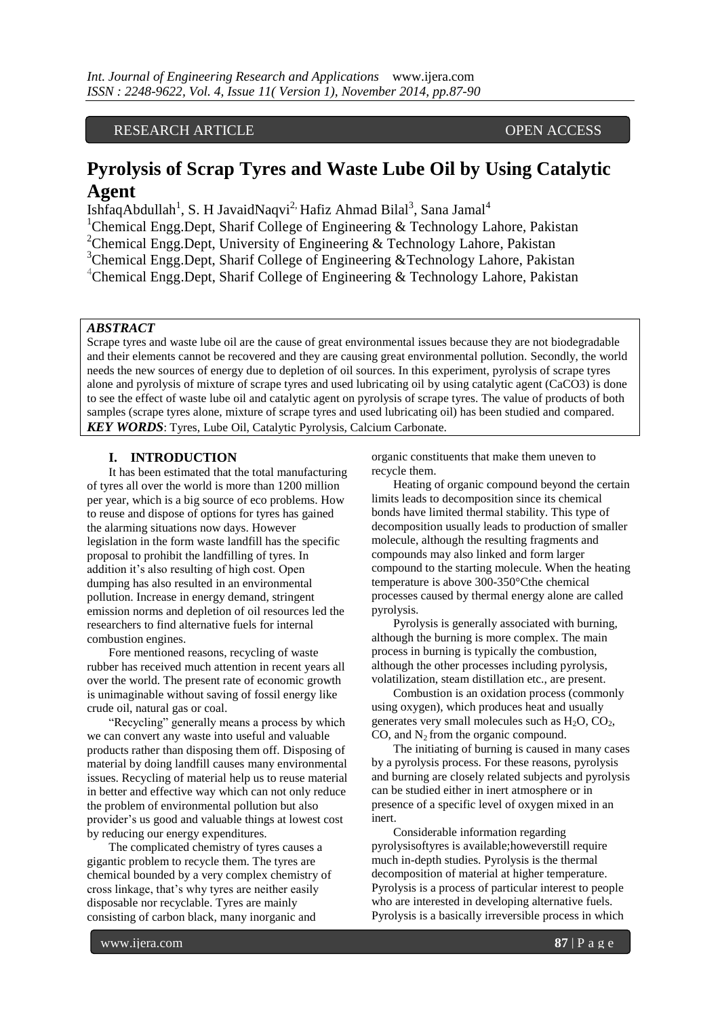# RESEARCH ARTICLE OPEN ACCESS

# **Pyrolysis of Scrap Tyres and Waste Lube Oil by Using Catalytic Agent**

IshfaqAbdullah<sup>1</sup>, S. H JavaidNaqvi<sup>2,</sup> Hafiz Ahmad Bilal<sup>3</sup>, Sana Jamal<sup>4</sup>

<sup>1</sup>Chemical Engg.Dept, Sharif College of Engineering  $\&$  Technology Lahore, Pakistan

<sup>2</sup>Chemical Engg.Dept, University of Engineering & Technology Lahore, Pakistan

<sup>3</sup>Chemical Engg.Dept, Sharif College of Engineering &Technology Lahore, Pakistan

<sup>4</sup>Chemical Engg.Dept, Sharif College of Engineering & Technology Lahore, Pakistan

#### *ABSTRACT*

Scrape tyres and waste lube oil are the cause of great environmental issues because they are not biodegradable and their elements cannot be recovered and they are causing great environmental pollution. Secondly, the world needs the new sources of energy due to depletion of oil sources. In this experiment, pyrolysis of scrape tyres alone and pyrolysis of mixture of scrape tyres and used lubricating oil by using catalytic agent (CaCO3) is done to see the effect of waste lube oil and catalytic agent on pyrolysis of scrape tyres. The value of products of both samples (scrape tyres alone, mixture of scrape tyres and used lubricating oil) has been studied and compared. *KEY WORDS*: Tyres, Lube Oil, Catalytic Pyrolysis, Calcium Carbonate.

#### **I. INTRODUCTION**

It has been estimated that the total manufacturing of tyres all over the world is more than 1200 million per year, which is a big source of eco problems. How to reuse and dispose of options for tyres has gained the alarming situations now days. However legislation in the form waste landfill has the specific proposal to prohibit the landfilling of tyres. In addition it's also resulting of high cost. Open dumping has also resulted in an environmental pollution. Increase in energy demand, stringent emission norms and depletion of oil resources led the researchers to find alternative fuels for internal combustion engines.

Fore mentioned reasons, recycling of waste rubber has received much attention in recent years all over the world. The present rate of economic growth is unimaginable without saving of fossil energy like crude oil, natural gas or coal.

"Recycling" generally means a process by which we can convert any waste into useful and valuable products rather than disposing them off. Disposing of material by doing landfill causes many environmental issues. Recycling of material help us to reuse material in better and effective way which can not only reduce the problem of environmental pollution but also provider's us good and valuable things at lowest cost by reducing our energy expenditures.

The complicated chemistry of tyres causes a gigantic problem to recycle them. The tyres are chemical bounded by a very complex chemistry of cross linkage, that's why tyres are neither easily disposable nor recyclable. Tyres are mainly consisting of carbon black, many inorganic and

organic constituents that make them uneven to recycle them.

Heating of organic compound beyond the certain limits leads to decomposition since its chemical bonds have limited thermal stability. This type of decomposition usually leads to production of smaller molecule, although the resulting fragments and compounds may also linked and form larger compound to the starting molecule. When the heating temperature is above 300-350°Cthe chemical processes caused by thermal energy alone are called pyrolysis.

Pyrolysis is generally associated with burning, although the burning is more complex. The main process in burning is typically the combustion, although the other processes including pyrolysis, volatilization, steam distillation etc., are present.

Combustion is an oxidation process (commonly using oxygen), which produces heat and usually generates very small molecules such as  $H_2O$ ,  $CO_2$ , CO, and  $N_2$  from the organic compound.

The initiating of burning is caused in many cases by a pyrolysis process. For these reasons, pyrolysis and burning are closely related subjects and pyrolysis can be studied either in inert atmosphere or in presence of a specific level of oxygen mixed in an inert.

Considerable information regarding pyrolysisoftyres is available;howeverstill require much in-depth studies. Pyrolysis is the thermal decomposition of material at higher temperature. Pyrolysis is a process of particular interest to people who are interested in developing alternative fuels. Pyrolysis is a basically irreversible process in which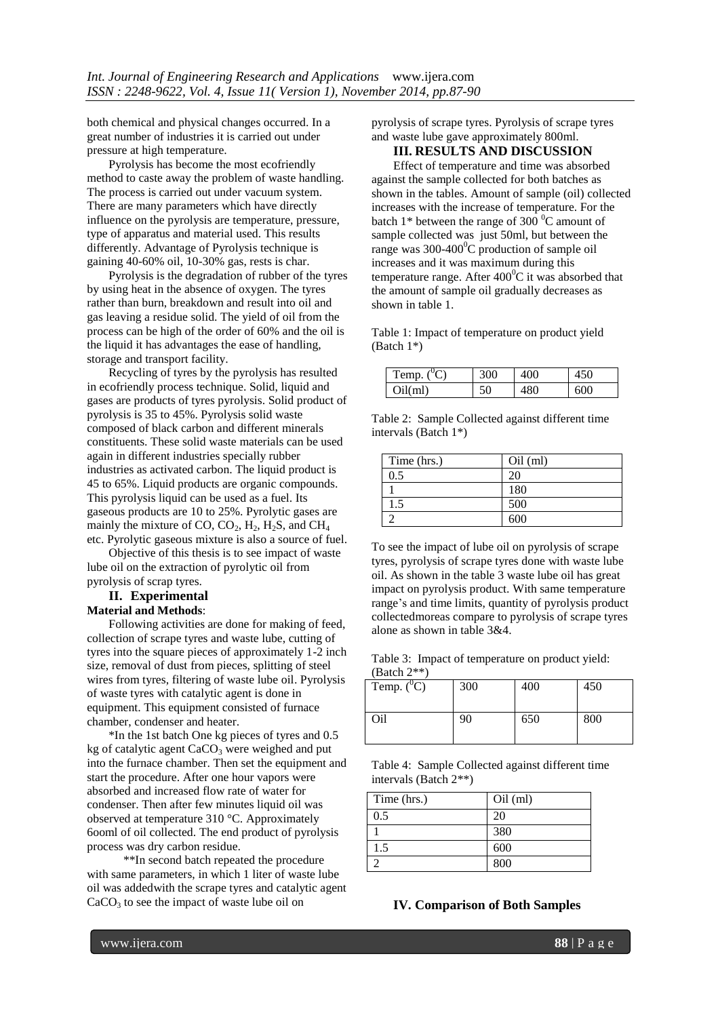both chemical and physical changes occurred. In a great number of industries it is carried out under pressure at high temperature.

Pyrolysis has become the most ecofriendly method to caste away the problem of waste handling. The process is carried out under vacuum system. There are many parameters which have directly influence on the pyrolysis are temperature, pressure, type of apparatus and material used. This results differently. Advantage of Pyrolysis technique is gaining 40-60% oil, 10-30% gas, rests is char.

Pyrolysis is the degradation of rubber of the tyres by using heat in the absence of oxygen. The tyres rather than burn, breakdown and result into oil and gas leaving a residue solid. The yield of oil from the process can be high of the order of 60% and the oil is the liquid it has advantages the ease of handling, storage and transport facility.

Recycling of tyres by the pyrolysis has resulted in ecofriendly process technique. Solid, liquid and gases are products of tyres pyrolysis. Solid product of pyrolysis is 35 to 45%. Pyrolysis solid waste composed of black carbon and different minerals constituents. These solid waste materials can be used again in different industries specially rubber industries as activated carbon. The liquid product is 45 to 65%. Liquid products are organic compounds. This pyrolysis liquid can be used as a fuel. Its gaseous products are 10 to 25%. Pyrolytic gases are mainly the mixture of CO,  $CO_2$ ,  $H_2$ ,  $H_2S$ , and  $CH_4$ etc. Pyrolytic gaseous mixture is also a source of fuel.

Objective of this thesis is to see impact of waste lube oil on the extraction of pyrolytic oil from pyrolysis of scrap tyres.

# **II. Experimental**

# **Material and Methods**:

Following activities are done for making of feed, collection of scrape tyres and waste lube, cutting of tyres into the square pieces of approximately 1-2 inch size, removal of dust from pieces, splitting of steel wires from tyres, filtering of waste lube oil. Pyrolysis of waste tyres with catalytic agent is done in equipment. This equipment consisted of furnace chamber, condenser and heater.

\*In the 1st batch One kg pieces of tyres and 0.5 kg of catalytic agent  $CaCO<sub>3</sub>$  were weighed and put into the furnace chamber. Then set the equipment and start the procedure. After one hour vapors were absorbed and increased flow rate of water for condenser. Then after few minutes liquid oil was observed at temperature 310 °C. Approximately 6ooml of oil collected. The end product of pyrolysis process was dry carbon residue.

 \*\*In second batch repeated the procedure with same parameters, in which 1 liter of waste lube oil was addedwith the scrape tyres and catalytic agent  $CaCO<sub>3</sub>$  to see the impact of waste lube oil on

pyrolysis of scrape tyres. Pyrolysis of scrape tyres and waste lube gave approximately 800ml.

# **III. RESULTS AND DISCUSSION**

Effect of temperature and time was absorbed against the sample collected for both batches as shown in the tables. Amount of sample (oil) collected increases with the increase of temperature. For the batch 1\* between the range of 300 $\mathrm{^{0}C}$  amount of sample collected was just 50ml, but between the range was  $300-400^{\circ}$ C production of sample oil increases and it was maximum during this temperature range. After  $400^{\circ}$ C it was absorbed that the amount of sample oil gradually decreases as shown in table 1.

Table 1: Impact of temperature on product yield (Batch 1\*)

| Temp. $(^0C)$ | 300 | 400 |     |
|---------------|-----|-----|-----|
| Oil(ml)       | 50  | 480 | 600 |

Table 2: Sample Collected against different time intervals (Batch 1\*)

| Time (hrs.) | $Oil$ (ml) |
|-------------|------------|
| 0.5         | 20         |
|             | 180        |
| l.5         | 500        |
|             | 600        |

To see the impact of lube oil on pyrolysis of scrape tyres, pyrolysis of scrape tyres done with waste lube oil. As shown in the table 3 waste lube oil has great impact on pyrolysis product. With same temperature range's and time limits, quantity of pyrolysis product collectedmoreas compare to pyrolysis of scrape tyres alone as shown in table 3&4.

Table 3: Impact of temperature on product yield: (Batch 2\*\*)

| Temp. $(^0C)$ | 300 | 400 | 450 |
|---------------|-----|-----|-----|
| Oil           | 90  | 650 | 800 |

Table 4: Sample Collected against different time intervals (Batch 2\*\*)

| Time (hrs.) | $Oil$ (ml) |
|-------------|------------|
| 0.5         | 20         |
|             | 380        |
| 1.5         | 600        |
|             | 800        |

# **IV. Comparison of Both Samples**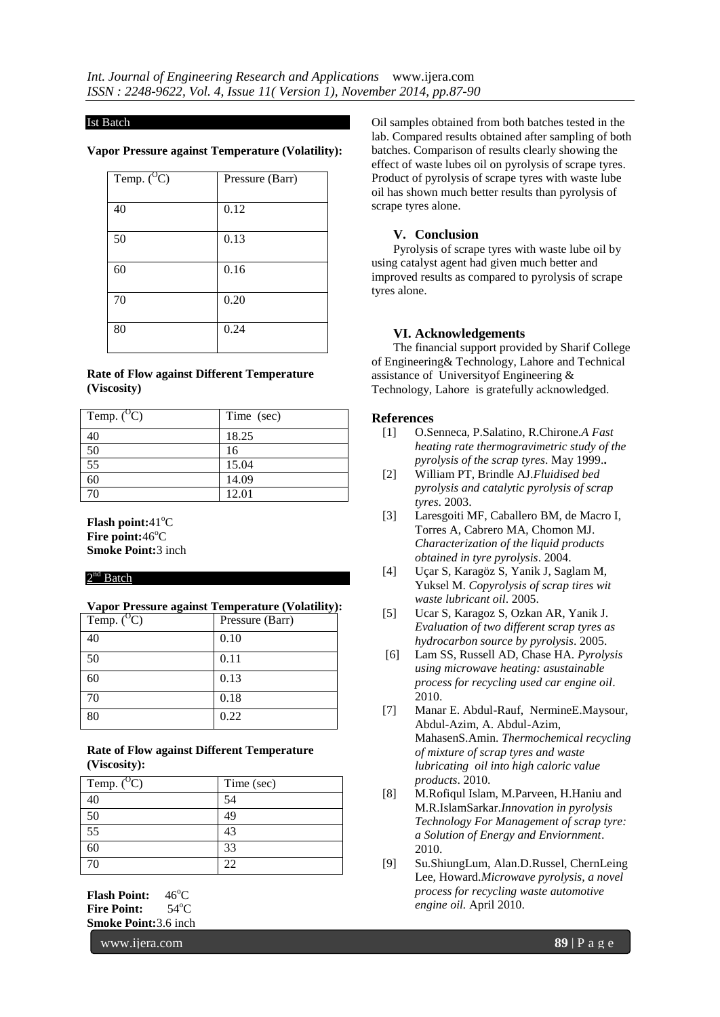#### Ist Batch

#### **Vapor Pressure against Temperature (Volatility):**

| Temp. $(^{0}C)$ | Pressure (Barr) |
|-----------------|-----------------|
| 40              | 0.12            |
| 50              | 0.13            |
| 60              | 0.16            |
| 70              | 0.20            |
| 80              | 0.24            |

#### **Rate of Flow against Different Temperature (Viscosity)**

| Temp. $(^{O}C)$ | Time (sec) |
|-----------------|------------|
| 40              | 18.25      |
| 50              | 16         |
| $\overline{55}$ | 15.04      |
| 60              | 14.09      |
| 70              | 12.01      |

**Flash point:**41<sup>o</sup>C **Fire point:46°C Smoke Point:**3 inch

## $2<sup>nd</sup>$  Batch

# **Vapor Pressure against Temperature (Volatility):**

| Temp. $(^{0}C)$ | Pressure (Barr) |
|-----------------|-----------------|
| 40              | 0.10            |
| 50              | 0.11            |
| 60              | 0.13            |
| 70              | 0.18            |
| 80              | 0.22            |

## **Rate of Flow against Different Temperature (Viscosity):**

| Temp. $(^{0}C)$ | Time (sec)        |
|-----------------|-------------------|
| 40              | 54                |
| 50              | 49                |
| 55              | 43                |
|                 | 33                |
| 70              | $\gamma_{\gamma}$ |

**Flash Point:**  $46^{\circ}$ C **Fire Point:** 54°C **Smoke Point:**3.6 inch

www.ijera.com **89** | P a g e

Oil samples obtained from both batches tested in the lab. Compared results obtained after sampling of both batches. Comparison of results clearly showing the effect of waste lubes oil on pyrolysis of scrape tyres. Product of pyrolysis of scrape tyres with waste lube oil has shown much better results than pyrolysis of scrape tyres alone.

## **V. Conclusion**

Pyrolysis of scrape tyres with waste lube oil by using catalyst agent had given much better and improved results as compared to pyrolysis of scrape tyres alone.

# **VI. Acknowledgements**

The financial support provided by Sharif College of Engineering& Technology, Lahore and Technical assistance of Universityof Engineering & Technology, Lahore is gratefully acknowledged.

#### **References**

- [1] O.Senneca, P.Salatino, R.Chirone.*A Fast heating rate thermogravimetric study of the pyrolysis of the scrap tyres*. May 1999.**.**
- [2] William PT, Brindle AJ.*Fluidised bed pyrolysis and catalytic pyrolysis of scrap tyres*. 2003.
- [3] Laresgoiti MF, Caballero BM, de Macro I, Torres A, Cabrero MA, Chomon MJ. *Characterization of the liquid products obtained in tyre pyrolysis*. 2004.
- [4] Uçar S, Karagöz S, Yanik J, Saglam M, Yuksel M. *Copyrolysis of scrap tires wit waste lubricant oil*. 2005.
- [5] Ucar S, Karagoz S, Ozkan AR, Yanik J. *Evaluation of two different scrap tyres as hydrocarbon source by pyrolysis*. 2005.
- [6] Lam SS, Russell AD, Chase HA. *Pyrolysis using microwave heating: asustainable process for recycling used car engine oil*. 2010.
- [7] Manar E. Abdul-Rauf, NermineE.Maysour, Abdul-Azim, A. Abdul-Azim, MahasenS.Amin. *Thermochemical recycling of mixture of scrap tyres and waste lubricating oil into high caloric value products*. 2010.
- [8] M.Rofiqul Islam, M.Parveen, H.Haniu and M.R.IslamSarkar.*Innovation in pyrolysis Technology For Management of scrap tyre: a Solution of Energy and Enviornment*. 2010.
- [9] Su.ShiungLum, Alan.D.Russel, ChernLeing Lee, Howard.*Microwave pyrolysis, a novel process for recycling waste automotive engine oil.* April 2010.